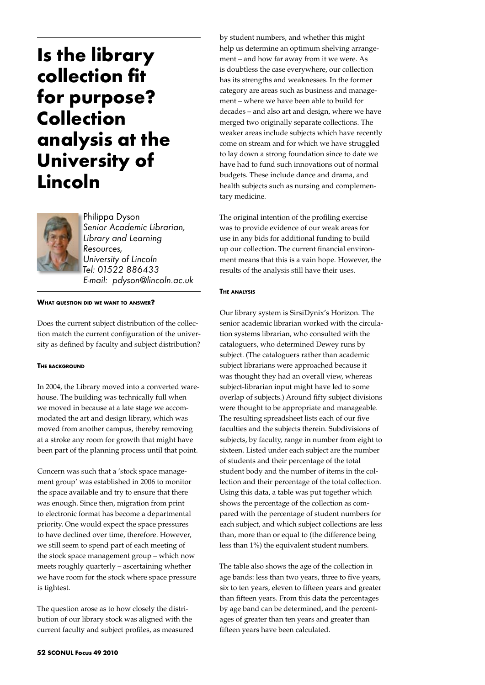# **Is the library collection fit for purpose? Collection analysis at the University of Lincoln**



Philippa Dyson *Senior Academic Librarian, Library and Learning Resources, University of Lincoln Tel: 01522 886433 E-mail: pdyson@lincoln.ac.uk* 

**What question did we want to answer?**

Does the current subject distribution of the collection match the current configuration of the university as defined by faculty and subject distribution?

# **The background**

In 2004, the Library moved into a converted warehouse. The building was technically full when we moved in because at a late stage we accommodated the art and design library, which was moved from another campus, thereby removing at a stroke any room for growth that might have been part of the planning process until that point.

Concern was such that a 'stock space management group' was established in 2006 to monitor the space available and try to ensure that there was enough. Since then, migration from print to electronic format has become a departmental priority. One would expect the space pressures to have declined over time, therefore. However, we still seem to spend part of each meeting of the stock space management group – which now meets roughly quarterly – ascertaining whether we have room for the stock where space pressure is tightest.

The question arose as to how closely the distribution of our library stock was aligned with the current faculty and subject profiles, as measured

by student numbers, and whether this might help us determine an optimum shelving arrangement – and how far away from it we were. As is doubtless the case everywhere, our collection has its strengths and weaknesses. In the former category are areas such as business and management – where we have been able to build for decades – and also art and design, where we have merged two originally separate collections. The weaker areas include subjects which have recently come on stream and for which we have struggled to lay down a strong foundation since to date we have had to fund such innovations out of normal budgets. These include dance and drama, and health subjects such as nursing and complementary medicine.

The original intention of the profiling exercise was to provide evidence of our weak areas for use in any bids for additional funding to build up our collection. The current financial environment means that this is a vain hope. However, the results of the analysis still have their uses.

# **The analysis**

Our library system is SirsiDynix's Horizon. The senior academic librarian worked with the circulation systems librarian, who consulted with the cataloguers, who determined Dewey runs by subject. (The cataloguers rather than academic subject librarians were approached because it was thought they had an overall view, whereas subject-librarian input might have led to some overlap of subjects.) Around fifty subject divisions were thought to be appropriate and manageable. The resulting spreadsheet lists each of our five faculties and the subjects therein. Subdivisions of subjects, by faculty, range in number from eight to sixteen. Listed under each subject are the number of students and their percentage of the total student body and the number of items in the collection and their percentage of the total collection. Using this data, a table was put together which shows the percentage of the collection as compared with the percentage of student numbers for each subject, and which subject collections are less than, more than or equal to (the difference being less than 1%) the equivalent student numbers.

The table also shows the age of the collection in age bands: less than two years, three to five years, six to ten years, eleven to fifteen years and greater than fifteen years. From this data the percentages by age band can be determined, and the percentages of greater than ten years and greater than fifteen years have been calculated.